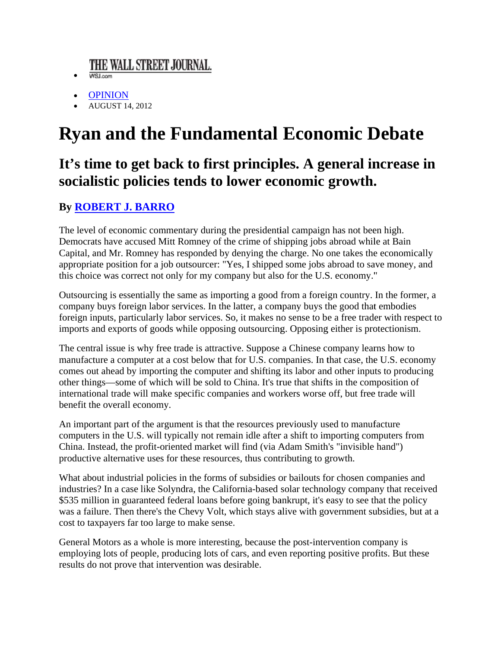## THE WALL STREET JOURNAL.

- WSJ.com
- **OPINION**
- **AUGUST 14, 2012**

## **Ryan and the Fundamental Economic Debate**

## It's time to get back to first principles. A general increase in socialistic policies tends to lower economic growth.

## **By ROBERT J. BARRO**

The level of economic commentary during the presidential campaign has not been high. Democrats have accused Mitt Romney of the crime of shipping jobs abroad while at Bain Capital, and Mr. Romney has responded by denying the charge. No one takes the economically appropriate position for a job outsourcer: "Yes, I shipped some jobs abroad to save money, and this choice was correct not only for my company but also for the U.S. economy."

Outsourcing is essentially the same as importing a good from a foreign country. In the former, a company buys foreign labor services. In the latter, a company buys the good that embodies foreign inputs, particularly labor services. So, it makes no sense to be a free trader with respect to imports and exports of goods while opposing outsourcing. Opposing either is protectionism.

The central issue is why free trade is attractive. Suppose a Chinese company learns how to manufacture a computer at a cost below that for U.S. companies. In that case, the U.S. economy comes out ahead by importing the computer and shifting its labor and other inputs to producing other things—some of which will be sold to China. It's true that shifts in the composition of international trade will make specific companies and workers worse off, but free trade will benefit the overall economy.

An important part of the argument is that the resources previously used to manufacture computers in the U.S. will typically not remain idle after a shift to importing computers from China. Instead, the profit-oriented market will find (via Adam Smith's "invisible hand") productive alternative uses for these resources, thus contributing to growth.

What about industrial policies in the forms of subsidies or bailouts for chosen companies and industries? In a case like Solyndra, the California-based solar technology company that received \$535 million in guaranteed federal loans before going bankrupt, it's easy to see that the policy was a failure. Then there's the Chevy Volt, which stays alive with government subsidies, but at a cost to taxpayers far too large to make sense.

General Motors as a whole is more interesting, because the post-intervention company is employing lots of people, producing lots of cars, and even reporting positive profits. But these results do not prove that intervention was desirable.